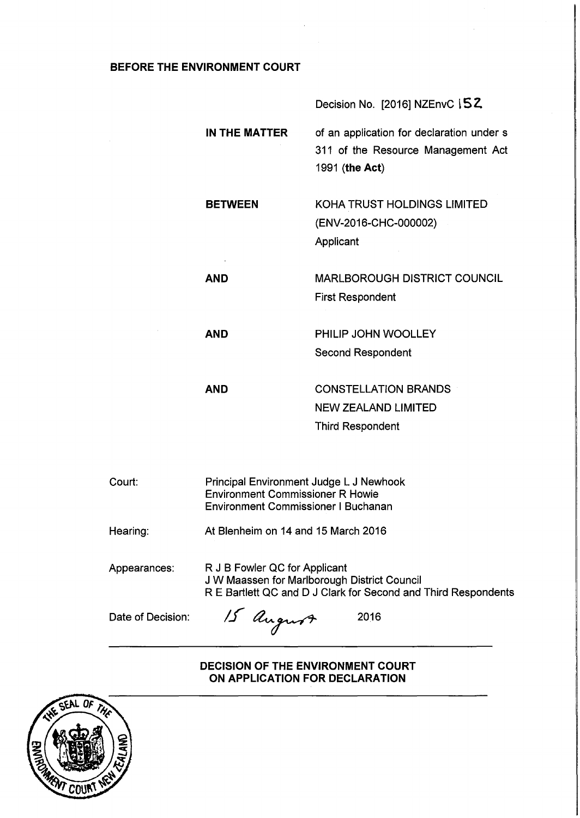# **BEFORE THE ENVIRONMENT COURT**

**AND** 

**AND** 

**AND** 

Decision No. [2016] NZEnvC ISZ

**IN THE MATTER**  of an application for declaration under s 311 of the Resource Management Act 1991 (the Act)

**BETWEEN**  KOHA TRUST HOLDINGS LIMITED (ENV-2016-CHC-000002) Applicant

> MARLBOROUGH DISTRICT COUNCIL First Respondent

PHILIP JOHN WOOLLEY Second Respondent

CONSTELLATION BRANDS NEW ZEALAND LIMITED Third Respondent

| Court:            | Principal Environment Judge L J Newhook<br><b>Environment Commissioner R Howie</b><br><b>Environment Commissioner I Buchanan</b>                |
|-------------------|-------------------------------------------------------------------------------------------------------------------------------------------------|
| Hearing:          | At Blenheim on 14 and 15 March 2016                                                                                                             |
| Appearances:      | R J B Fowler QC for Applicant<br>J W Maassen for Marlborough District Council<br>R E Bartlett QC and D J Clark for Second and Third Respondents |
| Date of Decision: | 15 August<br>2016                                                                                                                               |

**DECISION OF THE ENVIRONMENT COURT ON APPLICATION FOR DECLARATION** 

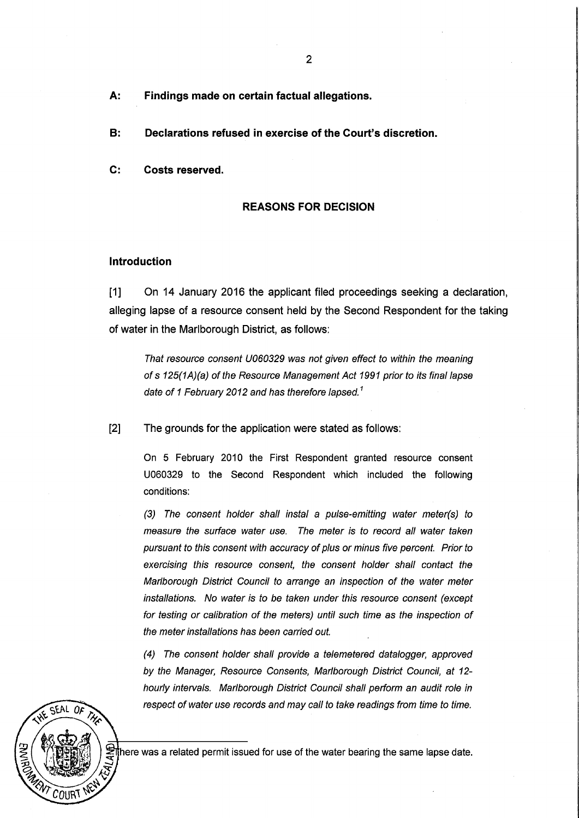- A: Findings made on certain factual allegations.
- B: Declarations refused in exercise of the Court's discretion.
- C: Costs reserved.

#### REASONS FOR DECISION

#### Introduction

[1] On 14 January 2016 the applicant filed proceedings seeking a declaration, alleging lapse of a resource consent held by the Second Respondent for the taking of water in the Marlborough District, as follows:

That resource consent U060329 was not given effect to within the meaning of s 125(1A)(a) of the Resource Management Act 1991 prior to its final lapse date of 1 February 2012 and has therefore lapsed.<sup>1</sup>

[2] The grounds for the application were stated as follows:

On 5 February 2010 the First Respondent granted resource consent U060329 to the Second Respondent which included the following conditions:

(3) The consent holder shall instal a pulse-emitting water meter(s) to measure the surface water use. The meter is to record all water taken pursuant to this consent with accuracy of plus or minus five percent. Prior to exercising this resource consent, the consent holder shall contact the Marlborough District Council to arrange an inspection of the water meter installations. No water is to be taken under this resource consent (except for testing or calibration of the meters) until such time as the inspection of the meter installations has been carried out.

(4) The consent holder shall provide a telemetered datalogger, approved by the Manager, Resource Consents, Marlborough District Council, at 12 hourly intervals. Marlborough District Council shall perform an audit role in respect of water use records and may call to take readings from time to time.



here was a related permit issued for use of the water bearing the same lapse date.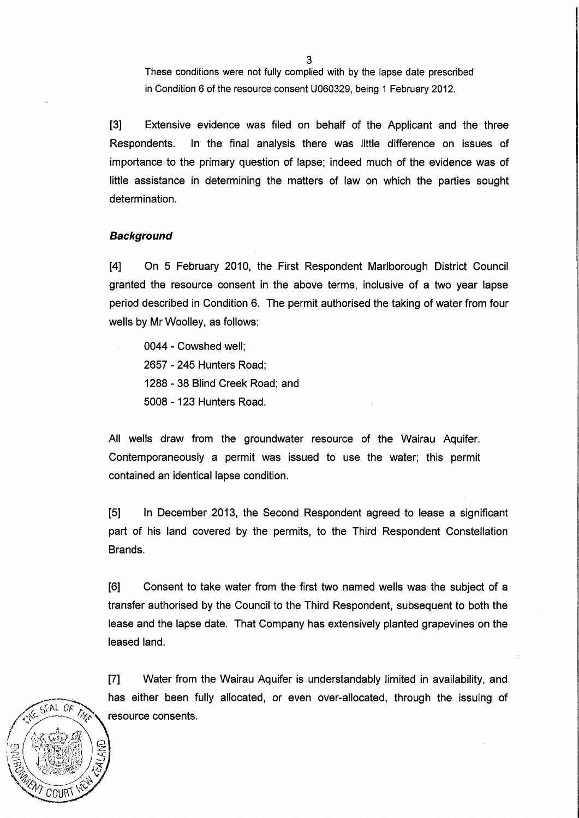These conditions were not fully complied with by the lapse date prescribed in Condition 6 of the resource consent U060329, being 1 February 2012.

[3] Extensive evidence was filed on behalf of the Applicant and the three Respondents. In the final analysis there was little difference on issues of importance to the primary question of lapse; indeed much of the evidence was of little assistance in determining the matters of law on which the parties sought determination.

# **Background**

 $GFAL$   $OF$ 

ิ $\mathcal C$ OURโ

[4] On 5 February 2010, the First Respondent Marlborough District Council granted the resource consent in the above terms, inclusive of a two year lapse period described in Condition 6. The permit authorised the taking of water from four wells by Mr Woolley, as follows:

0044 - Cowshed well; 2657 - 245 Hunters Road; 1288 - 38 Blind Creek Road; and 5008 - 123 Hunters Road.

All wells draw from the groundwater resource of the Wairau Aquifer. Contemporaneously a permit was issued to use the water; this permit contained an identical lapse condition.

[5] In December 2013, the Second Respondent agreed to lease a significant part of his land covered by the permits, to the Third Respondent Constellation Brands.

[6] Consent to take water from the first two named wells was the subject of a transfer authorised by the Council to the Third Respondent, subsequent to both the lease and the lapse date. That Company has extensively planted grapevines on the leased land.

[7] Water from the Wairau Aquifer is understandably limited in availability, and has either been fully allocated, or even over-allocated, through the issuing of resource consents.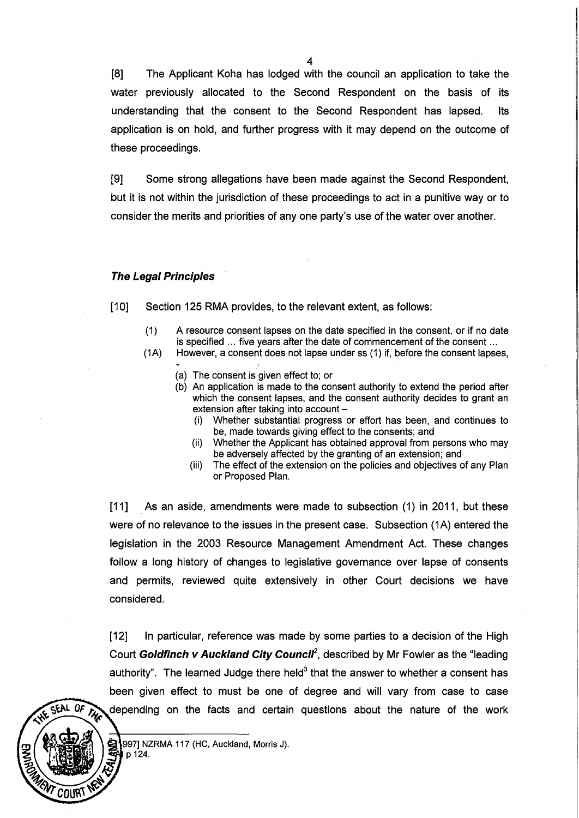[8] The Applicant Koha has lodged with the council an application to take the water previously allocated to the Second Respondent on the basis of its understanding that the consent to the Second Respondent has lapsed. Its application is on hold, and further progress with it may depend on the outcome of these proceedings.

[9] Some strong allegations have been made against the Second Respondent, but it is not within the jurisdiction of these proceedings to act in a punitive way or to consider the merits and priorities of anyone party's use of the water over another.

## **The Legal Principles**

[10] Section 125 RMA provides, to the relevant extent, as follows:

- (1) A resource consent lapses on the date specified in the consent, or if no date is specified ... five years after the date of commencement of the consent ...
- (1A) However, a consent does not lapse under ss (1) if, before the consent lapses,
	- (a) The consent is given effect to; or
	- (b) An application is made to the consent authority to extend the period after which the consent lapses, and the consent authority decides to grant an extension after taking into account  $-$ 
		- (i) Whether substantial progress or effort has been, and continues to be, made towards giving effect to the consents; and
		- (ii) Whether the Applicant has obtained approval from persons who may be adversely affected by the granting of an extension; and
		- (iii) The effect of the extension on the policies and objectives of any Plan or Proposed Plan.

[11] As an aside, amendments were made to subsection (1) in 2011, but these were of no relevance to the issues in the present case. Subsection (1A) entered the legislation in the 2003 Resource Management Amendment Act. These changes follow a long history of changes to legislative governance over lapse of consents and permits, reviewed quite extensively in other Court decisions we have considered.

[12] In particular, reference was made by some parties to a decision of the High Court Goldfinch v Auckland City Council<sup>2</sup>, described by Mr Fowler as the "leading authority". The learned Judge there held<sup>3</sup> that the answer to whether a consent has been given effect to must be one of degree and will vary from case to case depending on the facts and certain questions about the nature of the work

p 124.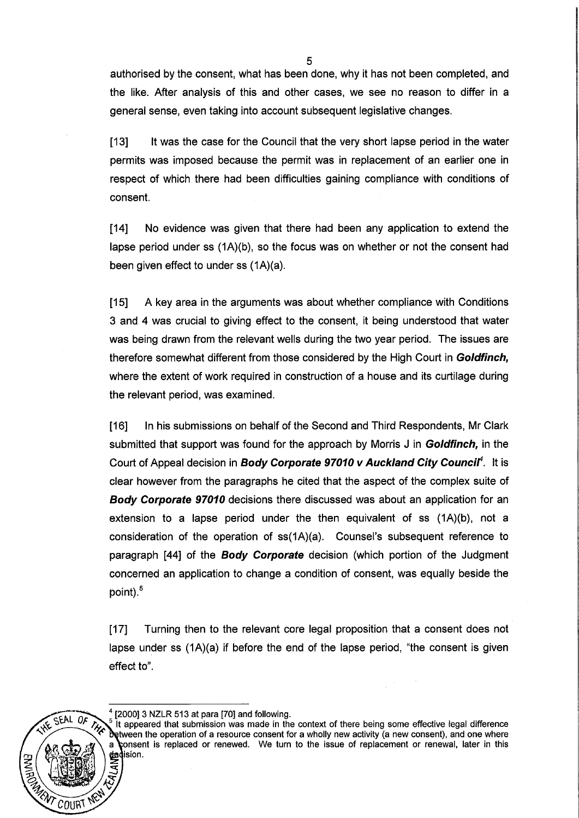authorised by the consent, what has been done, why it has not been completed, and the like. After analysis of this and other cases, we see no reason to differ in a general sense, even taking into account subsequent legislative changes.

[13] It was the case for the Council that the very short lapse period in the water permits was imposed because the permit was in replacement of an earlier one in respect of which there had been difficulties gaining compliance with conditions of consent.

[14] No evidence was given that there had been any application to extend the lapse period under ss (1A)(b), so the focus was on whether or not the consent had been given effect to under ss (1A)(a).

[15] A key area in the arguments was about whether compliance with Conditions 3 and 4 was crucial to giving effect to the consent, it being understood that water was being drawn from the relevant wells during the two year period. The issues are therefore somewhat different from those considered by the High Court in Goldfinch, where the extent of work required in construction of a house and its curtilage during the relevant period, was examined.

[16] In his submissions on behalf of the Second and Third Respondents, Mr Clark submitted that support was found for the approach by Morris J in **Goldfinch**, in the Court of Appeal decision in Body Corporate 97010 v Auckland City Council<sup>4</sup>. It is clear however from the paragraphs he cited that the aspect of the complex suite of Body Corporate 97010 decisions there discussed was about an application for an extension to a lapse period under the then equivalent of ss (1A)(b), not a consideration of the operation of ss(1A)(a). Counsel's subsequent reference to paragraph [44] of the **Body Corporate** decision (which portion of the Judgment concerned an application to change a condition of consent, was equally beside the point).<sup>5</sup>

[17] Turning then to the relevant core legal proposition that a consent does not lapse under ss (1A)(a) if before the end of the lapse period, "the consent is given effect to".



#### $<sup>4</sup>$  [2000] 3 NZLR 513 at para [70] and following.</sup>

It appeared that submission was made in the context of there being some effective legal difference Detween the operation of a resource consent for a wholly new activity (a new consent), and one where consent is replaced or renewed. We turn to the issue of replacement or renewal, later in this dedision.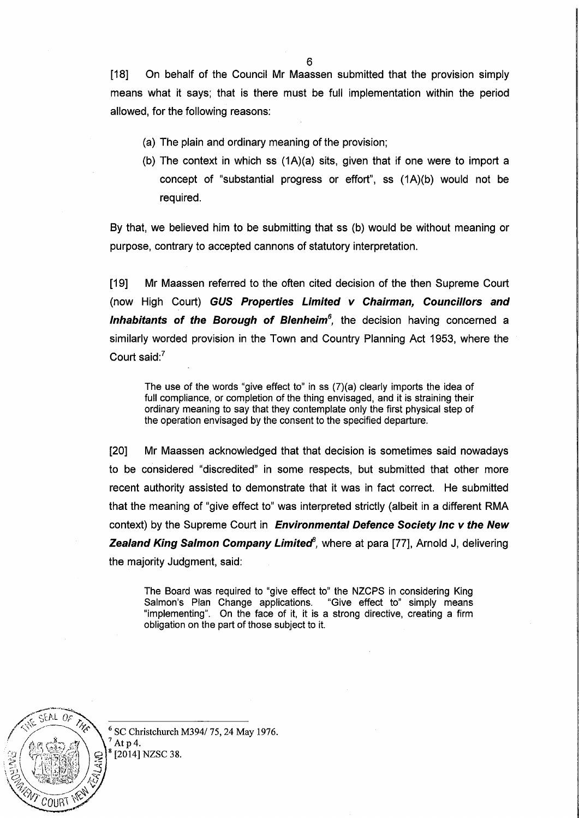[18] On behalf of the Council Mr Maassen submitted that the provision simply means what it says; that is there must be full implementation within the period allowed, for the following reasons:

- (a) The plain and ordinary meaning of the provision;
- (b) The context in which ss (1A)(a) sits, given that if one were to import a concept of "substantial progress or effort", ss (1A)(b) would not be required.

By that, we believed him to be submitting that ss (b) would be without meaning or purpose, contrary to accepted cannons of statutory interpretation.

[19] Mr Maassen referred to the often cited decision of the then Supreme Court (now High Court) **GUS Properties Limited v Chairman, Councillors and**  Inhabitants of the Borough of Blenheim<sup>6</sup>, the decision having concerned a similarly worded provision in the Town and Country Planning Act 1953, where the Court said:?

The use of the words "give effect to" in ss (7)(a) clearly imports the idea of full compliance, or completion of the thing envisaged, and it is straining their ordinary meaning to say that they contemplate only the first physical step of the operation envisaged by the consent to the specified departure.

[20] Mr Maassen acknowledged that that decision is sometimes said nowadays to be considered "discredited" in some respects, but submitted that other more recent authority assisted to demonstrate that it was in fact correct. He submitted that the meaning of "give effect to" was interpreted strictly (albeit in a different RMA context) by the Supreme Court in **Environmental Defence Society Inc v the New Zealand King Salmon Company Limited**<sup>8</sup>, where at para [77], Arnold J, delivering the majority Judgment, said:

The Board was required to "give effect to" the NZCPS in considering King Salmon's Plan Change applications. "Give effect to" simply means "implementing". On the face of it, it is a strong directive, creating a firm obligation on the part of those subject to it.



6 SC Christchurch *M3941* 75, 24 May 1976. At  $p$  4. [2014] NZSC 38.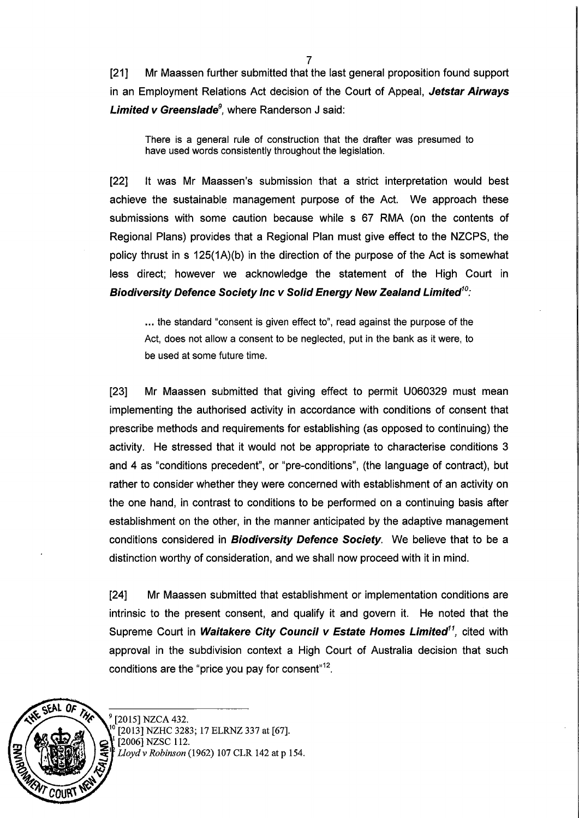[21] Mr Maassen further submitted that the last general proposition found support in an Employment Relations Act decision of the Court of Appeal, Jetstar Airways Limited v Greenslade*<sup>9</sup> ,* where Randerson J said:

There is a general rule of construction that the drafter was presumed to have used words consistently throughout the legislation.

[22] It was Mr Maassen's submission that a strict interpretation would best achieve the sustainable management purpose of the Act. We approach these submissions with some caution because while s 67 RMA (on the contents of Regional Plans) provides that a Regional Plan must give effect to the NZCPS, the policy thrust in s 125(1A)(b) in the direction of the purpose of the Act is somewhat less direct; however we acknowledge the statement of the High Court in Biodiversity Defence Society Inc v Solid Energy New Zealand Limited $^{10}$ :

... the standard "consent is given effect to", read against the purpose of the Act, does not allow a consent to be neglected, put in the bank as it were, to be used at some future time.

[23] Mr Maassen submitted that giving effect to permit U060329 must mean implementing the authorised activity in accordance with conditions of consent that prescribe methods and requirements for establishing (as opposed to continuing) the activity. He stressed that it would not be appropriate to characterise conditions 3 and 4 as "conditions precedent", or "pre-conditions", (the language of contract), but rather to consider whether they were concerned with establishment of an activity on the one hand, in contrast to conditions to be performed on a continuing basis after establishment on the other, in the manner anticipated by the adaptive management conditions considered in **Biodiversity Defence Society**. We believe that to be a distinction worthy of consideration, and we shall now proceed with it in mind.

[24] Mr Maassen submitted that establishment or implementation conditions are intrinsic to the present consent, and qualify it and govern it. He noted that the Supreme Court in Waitakere City Council v Estate Homes Limited<sup>11</sup>, cited with approval in the subdivision context a High Court of Australia decision that such conditions are the "price you pay for consent" $^{12}$ .



[2015] NZCA 432. [2013] NZHC 3283; 17 ELRNZ 337 at [67]. [2006] NZSC 112. Lloyd v Robinson (1962) 107 CLR 142 at p 154.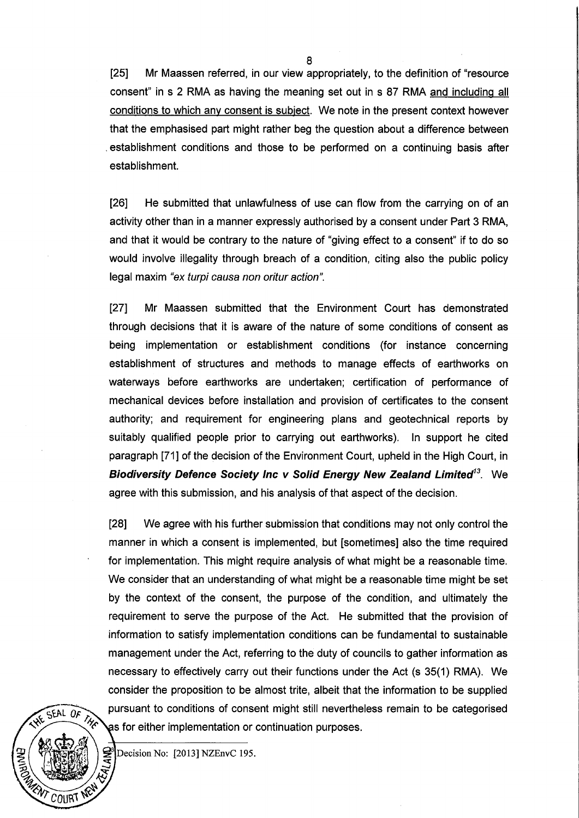[25] Mr Maassen referred, in our view appropriately, to the definition of "resource consent" in s 2 RMA as having the meaning set out in s 87 RMA and including all conditions to which any consent is subject. We note in the present context however that the emphasised part might rather beg the question about a difference between . establishment conditions and those to be performed on a continuing basis after establishment.

[26] He submitted that unlawfulness of use can flow from the carrying on of an activity other than in a manner expressly authorised by a consent under Part 3 RMA, and that it would be contrary to the nature of "giving effect to a consent" if to do so would involve illegality through breach of a condition, citing also the public policy legal maxim "ex turpi causa non oritur action".

[27] Mr Maassen submitted that the Environment Court has demonstrated through decisions that it is aware of the nature of some conditions of consent as being implementation or establishment conditions (for instance concerning establishment of structures and methods to manage effects of earthworks on waterways before earthworks are undertaken; certification of performance of mechanical devices before installation and provision of certificates to the consent authority; and requirement for engineering plans and geotechnical reports by suitably qualified people prior to carrying out earthworks). In support he cited paragraph [71] of the decision of the Environment Court, upheld in the High Court, in **Biodiversity Defence Society Inc v Solid Energy New Zealand Limited<sup>13</sup>. We** agree with this submission, and his analysis of that aspect of the decision.

[28] We agree with his further submission that conditions may not only control the manner in which a consent is implemented, but [sometimes] also the time required for implementation. This might require analysis of what might be a reasonable time. We consider that an understanding of what might be a reasonable time might be set by the context of the consent, the purpose of the condition, and ultimately the requirement to serve the purpose of the Act. He submitted that the provision of information to satisfy implementation conditions can be fundamental to sustainable management under the Act, referring to the duty of councils to gather information as necessary to effectively carry out their functions under the Act (s 35(1) RMA). We consider the proposition to be almost trite, albeit that the information to be supplied pursuant to conditions of consent might still nevertheless remain to be categorised as for either implementation or continuation purposes.



Decision No: [2013] NZEnvC 195.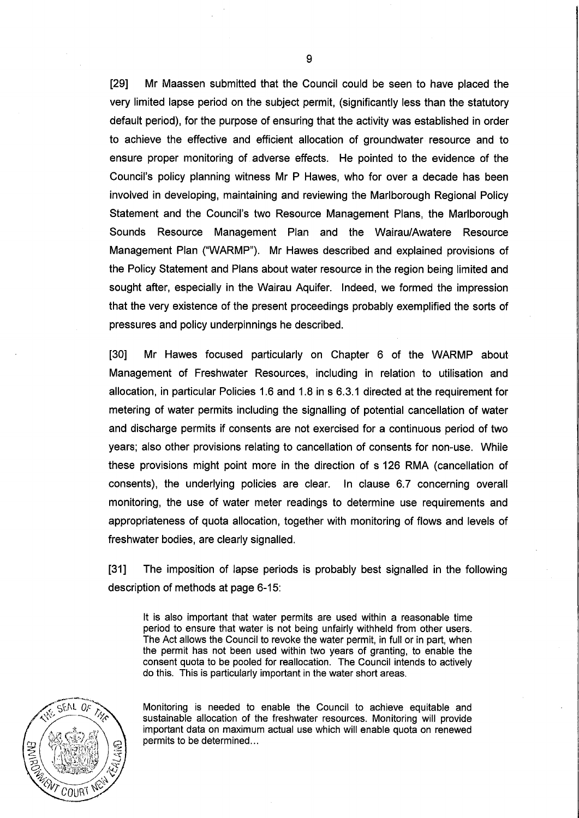[29] Mr Maassen submitted that the Council could be seen to have placed the very limited lapse period on the subject permit, (significantly less than the statutory default period), for the purpose of ensuring that the activity was established in order to achieve the effective and efficient allocation of groundwater resource and to ensure proper monitoring of adverse effects. He pointed to the evidence of the Council's policy planning witness Mr P Hawes, who for over a decade has been involved in developing, maintaining and reviewing the Marlborough Regional Policy Statement and the Council's two Resource Management Plans, the Marlborough Sounds Resource Management Plan and the Wairau/Awatere Resource Management Plan ("WARMP"). Mr Hawes described and explained provisions of the Policy Statement and Plans about water resource in the region being limited and sought after, especially in the Wairau Aquifer. Indeed, we formed the impression that the very existence of the present proceedings probably exemplified the sorts of pressures and policy underpinnings he described.

[30] Mr Hawes focused particularly on Chapter 6 of the WARMP about Management of Freshwater Resources, including in relation to utilisation and allocation, in particular Policies 1.6 and 1.8 in s 6.3.1 directed at the requirement for metering of water permits including the signalling of potential cancellation of water and discharge permits if consents are not exercised for a continuous period of two years; also other provisions relating to cancellation of consents for non-use. While these provisions might point more in the direction of s 126 RMA (cancellation of consents), the underlying policies are clear. In clause 6.7 concerning overall monitoring, the use of water meter readings to determine use requirements and appropriateness of quota allocation, together with monitoring of flows and levels of freshwater bodies, are clearly signalled.

[31] The imposition of lapse periods is probably best signalled in the following description of methods at page 6-15:

It is also important that water permits are used within a reasonable time period to ensure that water is not being unfairly withheld from other users. The Act allows the Council to revoke the water permit, in full or in part, when the permit has not been used within two years of granting, to enable the consent quota to be pooled for reallocation. The Council intends to actively do this. This is particularly important in the water short areas.



Monitoring is needed to enable the Council to achieve equitable and sustainable allocation of the freshwater resources. Monitoring will provide important data on maximum actual use which will enable quota on renewed permits to be determined...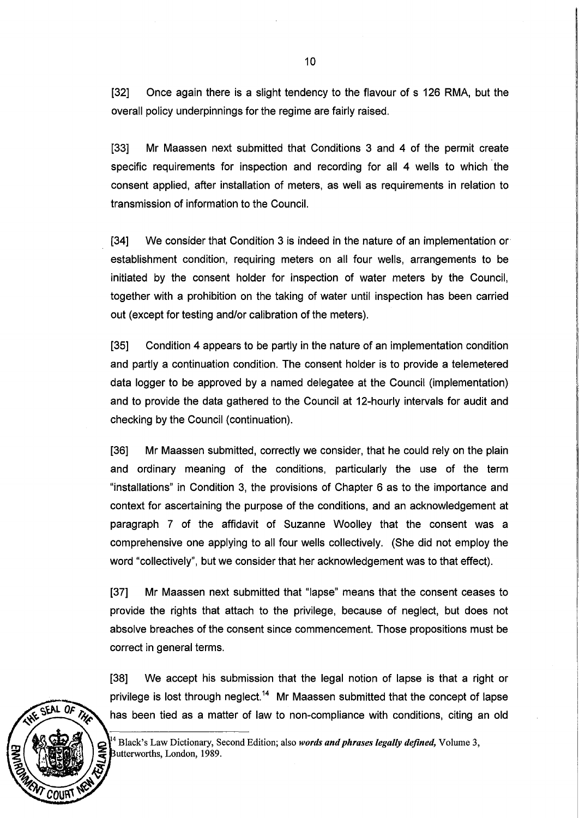[32] Once again there is a slight tendency to the flavour of s 126 RMA, but the overall policy underpinnings for the regime are fairly raised.

[33] Mr Maassen next submitted that Conditions 3 and 4 of the permit create specific requirements for inspection and recording for all 4 wells to which the consent applied, after installation of meters, as well as requirements in relation to transmission of information to the Council.

 $[34]$  We consider that Condition 3 is indeed in the nature of an implementation or establishment condition, requiring meters on all four wells, arrangements to be initiated by the consent holder for inspection of water meters by the Council, together with a prohibition on the taking of water until inspection has been carried out (except for testing and/or calibration of the meters).

[35] Condition 4 appears to be partly in the nature of an implementation condition and partly a continuation condition. The consent holder is to provide a telemetered data logger to be approved by a named delegatee at the Council (implementation) and to provide the data gathered to the Council at 12-hourly intervals for audit and checking by the Council (continuation).

[36] Mr Maassen submitted, correctly we consider, that he could rely on the plain and ordinary meaning of the conditions, particularly the use of the term "installations" in Condition 3, the provisions of Chapter 6 as to the importance and context for ascertaining the purpose of the conditions, and an acknowledgement at paragraph 7 of the affidavit of Suzanne Woolley that the consent was a comprehensive one applying to all four wells collectively. (She did not employ the word "collectively", but we consider that her acknowledgement was to that effect).

[37] Mr Maassen next submitted that "lapse" means that the consent ceases to provide the rights that attach to the privilege, because of neglect, but does not absolve breaches of the consent since commencement. Those propositions must be correct in general terms.

[38] We accept his submission that the legal notion of lapse is that a right or privilege is lost through neglect.<sup>14</sup> Mr Maassen submitted that the concept of lapse has been tied as a matter of law to non-compliance with conditions, citing an old



 $14$  Black's Law Dictionary, Second Edition; also *words and phrases legally defined*, Volume 3, Butterworths, London, 1989.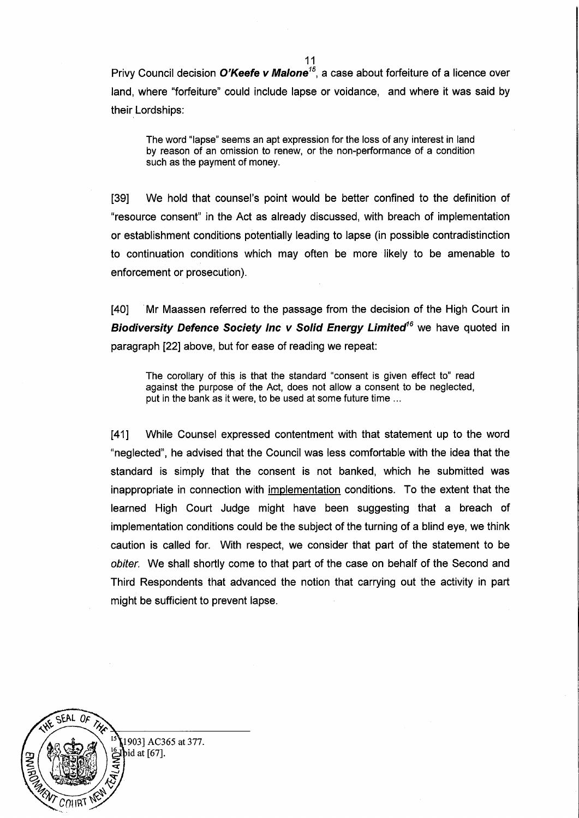Privy Council decision O'Keefe v Malone<sup>15</sup>, a case about forfeiture of a licence over land, where "forfeiture" could include lapse or voidance, and where it was said by their Lordships:

The word "lapse" seems an apt expression for the loss of any interest in land by reason of an omission to renew, or the non-performance of a condition such as the payment of money.

[39] We hold that counsel's point would be better confined to the definition of "resource consent" in the Act as already discussed, with breach of implementation or establishment conditions potentially leading to lapse (in possible contradistinction to continuation conditions which may often be more likely to be amenable to enforcement or prosecution).

[40] . Mr Maassen referred to the passage from the decision of the High Court in Biodiversity Defence Society Inc v Solid Energy Limited<sup>16</sup> we have quoted in paragraph [22] above, but for ease of reading we repeat:

The corollary of this is that the standard "consent is given effect to" read against the purpose of the Act, does not allow a consent to be neglected, put in the bank as it were, to be used at some future time ...

[41] While Counsel expressed contentment with that statement up to the word "neglected", he advised that the Council was less comfortable with the idea that the standard is simply that the consent is not banked, which he submitted was inappropriate in connection with implementation conditions. To the extent that the learned High Court Judge might have been suggesting that a breach of implementation conditions could be the subject of the turning of a blind eye, we think caution is called for. With respect, we consider that part of the statement to be obiter. We shall shortly come to that part of the case on behalf of the Second and Third Respondents that advanced the notion that carrying out the activity in part might be sufficient to prevent lapse.

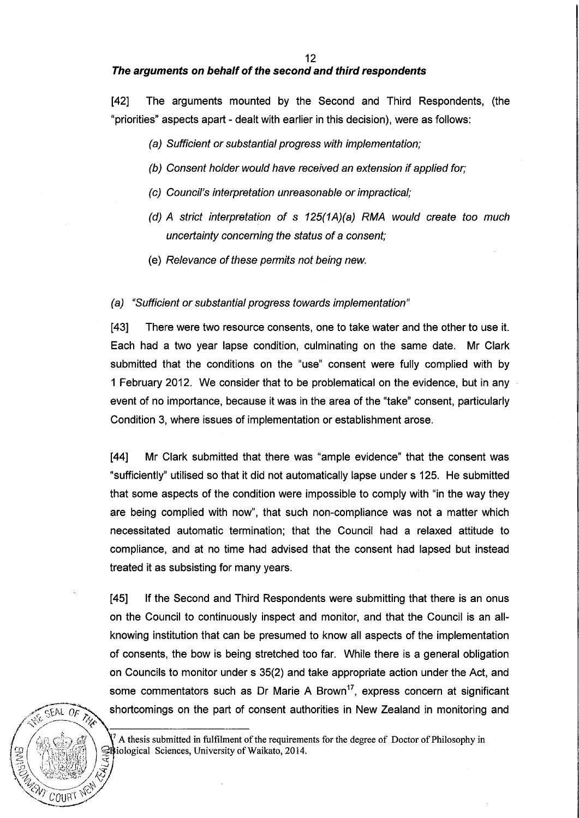#### **The arguments on behalf of the second and third respondents**

[42] The arguments mounted by the Second and Third Respondents, (the "priorities" aspects apart - dealt with earlier in this decision), were as follows:

- (a) Sufficient or substantial progress with implementation;
- (b) Consent holder would have received an extension if applied for;
- (c) Council's interpretation unreasonable or impractical;
- (d) A strict interpretation of s 125(1A)(a) RMA would create too much uncertainty concerning the status of a consent;
- (e) Relevance of these permits not being new.

#### (a) "Sufficient or substantial progress towards implementation"

[43] There were two resource consents, one to take water and the other to use it. Each had a two year lapse condition, culminating on the same date. Mr Clark submitted that the conditions on the "use" consent were fully complied with by 1 February 2012. We consider that to be problematical on the evidence, but in any event of no importance, because it was in the area of the "take" consent, particularly Condition 3, where issues of implementation or establishment arose.

[44] Mr Clark submitted that there was "ample evidence" that the consent was "sufficiently" utilised so that it did not automatically lapse under s 125. He submitted that some aspects of the condition were impossible to comply with "in the way they are being complied with now", that such non-compliance was not a matter which necessitated automatic termination; that the Council had a relaxed attitude to compliance, and at no time had advised that the consent had lapsed but instead treated it as subsisting for many years.

[45] If the Second and Third Respondents were submitting that there is an onus on the Council to continuously inspect and monitor, and that the Council is an allknowing institution that can be presumed to know all aspects of the implementation of consents, the bow is being stretched too far. While there is a general obligation on Councils to monitor under s 35(2) and take appropriate action under the Act, and some commentators such as Dr Marie A Brown<sup>17</sup>, express concern at significant shortcomings on the part of consent authorities in New Zealand in monitoring and



A thesis submitted in fulfilment of the requirements for the degree of Doctor of Philosophy in Briological Sciences, University of Waikato, 2014.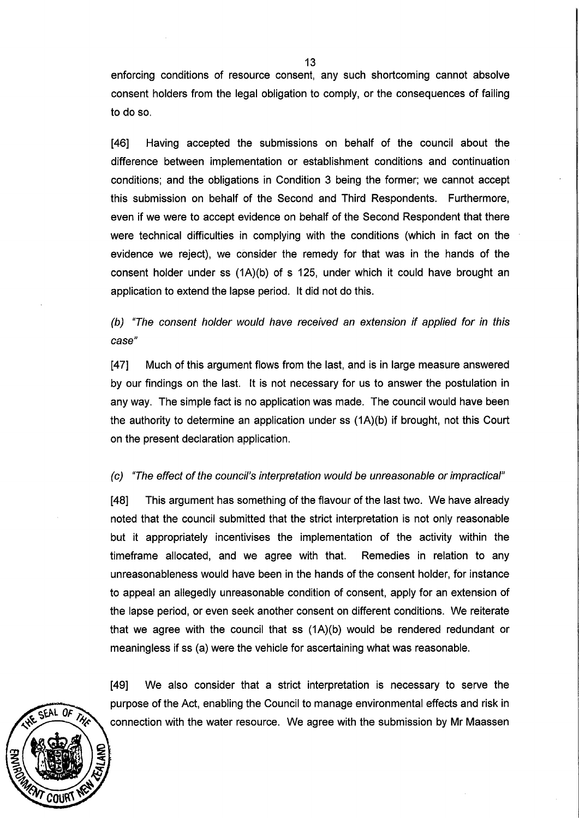enforcing conditions of resource consent, any such shortcoming cannot absolve consent holders from the legal obligation to comply, or the consequences of failing to do so.

[46] Having accepted the submissions on behalf of the council about the difference between implementation or establishment conditions and continuation conditions; and the obligations in Condition 3 being the former; we cannot accept this submission on behalf of the Second and Third Respondents. Furthermore, even if we were to accept evidence on behalf of the Second Respondent that there were technical difficulties in complying with the conditions (which in fact on the evidence we reject), we consider the remedy for that was in the hands of the consent holder under ss (1A)(b) of s 125, under which it could have brought an application to extend the lapse period. It did not do this.

(b) "The consent holder would have received an extension if applied for in this case"

[47] Much of this argument flows from the last, and is in large measure answered by our findings on the last. It is not necessary for us to answer the postulation in any way. The simple fact is no application was made. The council would have been the authority to determine an application under ss (1A)(b) if brought, not this Court on the present declaration application.

# (c) "The effect of the council's interpretation would be unreasonable or impractical"

[48] This argument has something of the flavour of the last two. We have already noted that the council submitted that the strict interpretation is not only reasonable but it appropriately incentivises the implementation of the activity within the timeframe allocated, and we agree with that. Remedies in relation to any unreasonableness would have been in the hands of the consent holder, for instance to appeal an allegedly unreasonable condition of consent, apply for an extension of the lapse period, or even seek another consent on different conditions. We reiterate that we agree with the council that ss (1A)(b) would be rendered redundant or meaningless if ss (a) were the vehicle for ascertaining what was reasonable.

[49] We also consider that a strict interpretation is necessary to serve the purpose of the Act, enabling the Council to manage environmental effects and risk in connection with the water resource. We agree with the submission by Mr Maassen

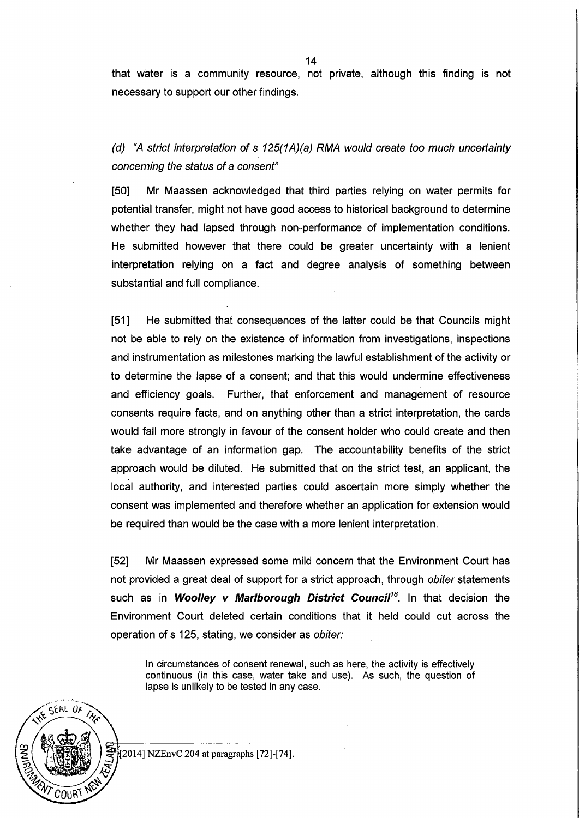that water is a community resource, not private, although this finding is not necessary to support our other findings.

(d) "A strict interpretation of s 125(1A)(a) RMA would create too much uncertainty concerning the status of a consent"

[50] Mr Maassen acknowledged that third parties relying on water permits for potential transfer, might not have good access to historical background to determine whether they had lapsed through non-performance of implementation conditions. He submitted however that there could be greater uncertainty with a lenient interpretation relying on a fact and degree analysis of something between substantial and full compliance.

[51] He submitted that consequences of the latter could be that Councils might not be able to rely on the existence of information from investigations, inspections and instrumentation as milestones marking the lawful establishment of the activity or to determine the lapse of a consent; and that this would undermine effectiveness and efficiency goals. Further, that enforcement and management of resource consents require facts, and on anything other than a strict interpretation, the cards would fall more strongly in favour of the consent holder who could create and then take advantage of an information gap. The accountability benefits of the strict approach would be diluted. He submitted that on the strict test, an applicant, the local authority, and interested parties could ascertain more simply whether the consent was implemented and therefore whether an application for extension would be required than would be the case with a more lenient interpretation.

[52] Mr Maassen expressed some mild concern that the Environment Court has not provided a great deal of support for a strict approach, through obiter statements such as in **Woolley v Marlborough District Council<sup>18</sup>.** In that decision the Environment Court deleted certain conditions that it held could cut across the operation of s 125, stating, we consider as obiter:

In circumstances of consent renewal, such as here, the activity is effectively continuous (in this case, water take and use). As such, the question of lapse is unlikely to be tested in any case.



[2014] NZEnvC 204 at paragraphs [72]-[74].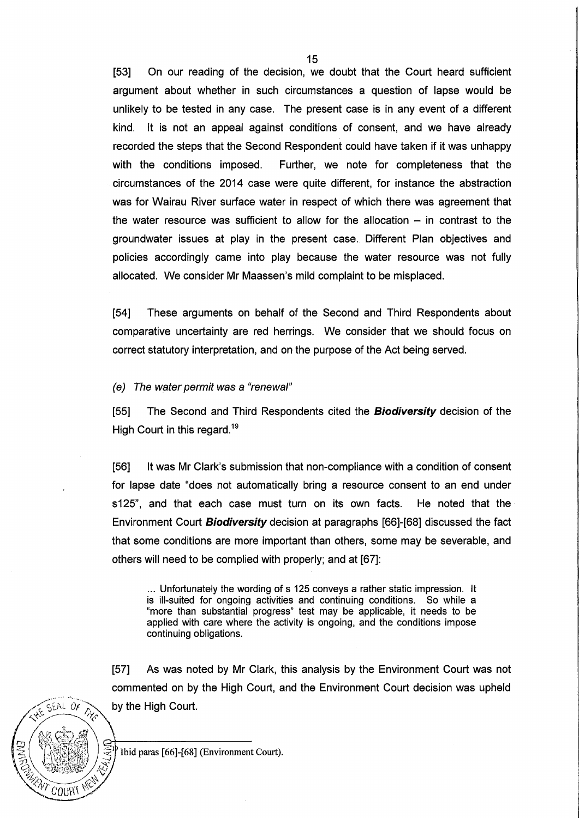[53] On our reading of the decision, we doubt that the Court heard sufficient argument about whether in such circumstances a question of lapse would be unlikely to be tested in any case. The present case is in any event of a different kind. It is not an appeal against conditions of consent, and we have already recorded the steps that the Second Respondent could have taken if it was unhappy with the conditions imposed. Further, we note for completeness that the circumstances of the 2014 case were quite different, for instance the abstraction was for Wairau River surface water in respect of which there was agreement that the water resource was sufficient to allow for the allocation  $-$  in contrast to the groundwater issues at play in the present case. Different Plan objectives and policies accordingly came into play because the water resource was not fully allocated. We consider Mr Maassen's mild complaint to be misplaced.

[54] These arguments on behalf of the Second and Third Respondents about comparative uncertainty are red herrings. We consider that we should focus on correct statutory interpretation, and on the purpose of the Act being served.

(e) The water permit was a "renewal"

[55] The Second and Third Respondents cited the **Biodiversity** decision of the High Court in this regard.<sup>19</sup>

[56] It was Mr Clark's submission that non-compliance with a condition of consent for lapse date "does not automatically bring a resource consent to an end under s125", and that each case must turn on its own facts. He noted that the· Environment Court **Biodiversity** decision at paragraphs [66]-[68] discussed the fact that some conditions are more important than others, some may be severable, and others will need to be complied with properly; and at [67]:

... Unfortunately the wording of s 125 conveys a rather static impression. It is ill-suited for ongoing activities and continuing conditions. So while a "more than substantial progress" test may be applicable, it needs to be applied with care where the activity is ongoing, and the conditions impose continuing obligations.

[57] As was noted by Mr Clark, this analysis by the Environment Court was not commented on by the High Court, and the Environment Court decision was upheld  $Sf(RL \tof \tImes)$  by the High Court.

 $\mathcal{L}\left(\mathbb{R}^{3}\right)$   $\oplus$   $\mathbb{R}^{4}$  ,  $\oplus$   $\mathbb{R}^{4}$  and  $\mathbb{R}^{4}$  or the  $\mathbb{R}^{4}$  of  $\mathbb{R}^{4}$  or  $\mathbb{R}^{4}$  or  $\mathbb{R}^{4}$  or  $\mathbb{R}^{4}$  .  $\mathbb{R}^{4}$  or  $\mathbb{R}^{4}$  or  $\mathbb{R}^{4}$  .  $\mathbb{R}^{4}$  or  $\mathbb{R$ Ibid paras [66]-[68] (Environment Court). 3/ 竹籠霧戰 /名

 $\sim$   $\sim$   $\sim$   $\sim$ 

 $\gg$   $\sim$   $\sim$   $\sim$ 

 $CORV$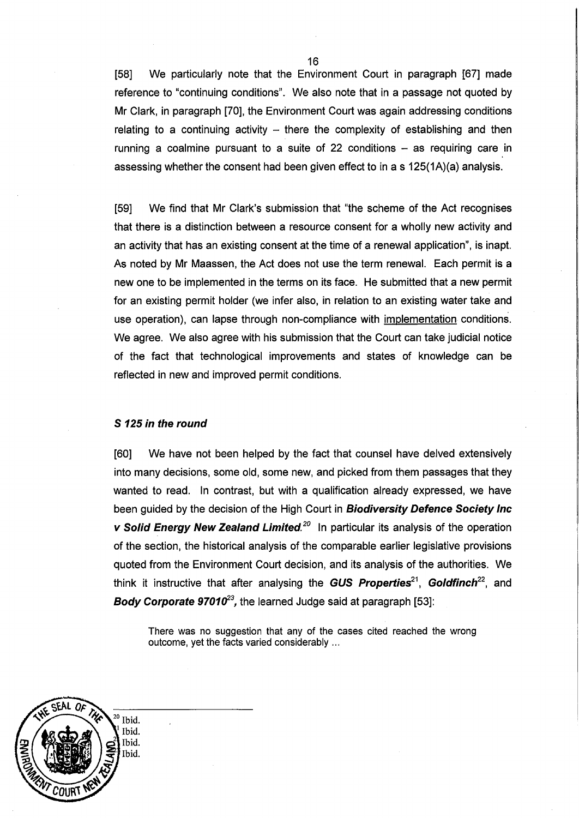[58] We particularly note that the Environment Court in paragraph [67] made reference to "continuing conditions". We also note that in a passage not quoted by Mr Clark, in paragraph [70], the Environment Court was again addressing conditions relating to a continuing activity  $-$  there the complexity of establishing and then running a coalmine pursuant to a suite of 22 conditions  $-$  as requiring care in assessing whether the consent had been given effect to in a s 125(1A)(a) analysis.

[59] We find that Mr Clark's submission that "the scheme of the Act recognises that there is a distinction between a resource consent for a wholly new activity and an activity that has an existing consent at the time of a renewal application", is inapt. As noted by Mr Maassen, the Act does not use the term renewal. Each permit is a new one to be implemented in the terms on its face. He submitted that a new permit for an existing permit holder (we infer also, in relation to an existing water take and use operation), can lapse through non-compliance with implementation conditions. We agree. We also agree with his submission that the Court can take judicial notice of the fact that technological improvements and states of knowledge can be reflected in new and improved permit conditions.

## **S 125 in the round**

[60] We have not been helped by the fact that counsel have delved extensively into many decisions, some old, some new, and picked from them passages that they wanted to read. In contrast, but with a qualification already expressed, we have been guided by the decision of the High Court in **Biodiversity Defence Society Inc v Solid Energy New Zealand Limited.**<sup>20</sup> In particular its analysis of the operation of the section, the historical analysis of the comparable earlier legislative provisions quoted from the Environment Court decision, and its analysis of the authorities. We think it instructive that after analysing the **GUS Properties**<sup>21</sup>, **Goldfinch**<sup>22</sup>, and **Body Corporate 97010<sup>23</sup>**, the learned Judge said at paragraph [53]:

There was no suggestion that any of the cases cited reached the wrong outcome, yet the facts varied considerably ...

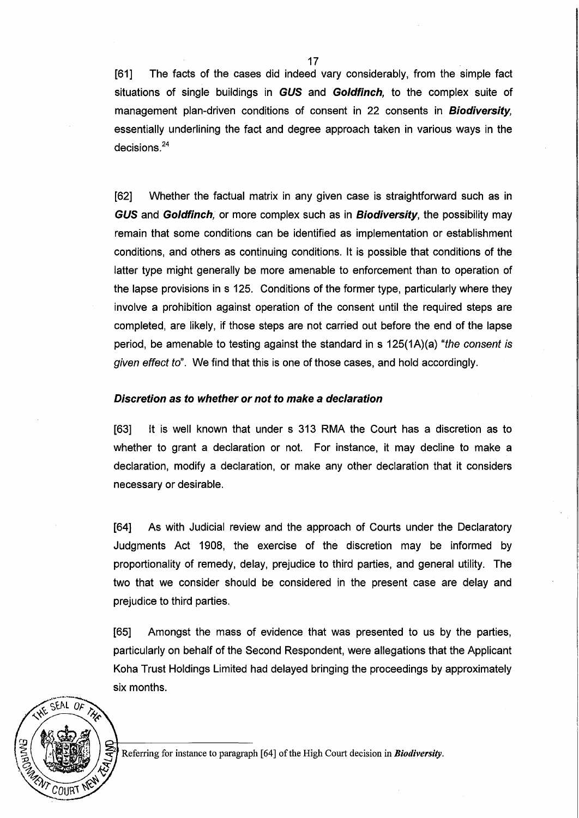[61] The facts of the cases did indeed vary considerably, from the simple fact situations of single buildings in GUS and Goldfinch, to the complex suite of management plan-driven conditions of consent in 22 consents in **Biodiversity**, essentially underlining the fact and degree approach taken in various ways in the decisions. <sup>24</sup>

[62] Whether the factual matrix in any given case is straightforward such as in GUS and Goldfinch, or more complex such as in Biodiversity, the possibility may remain that some conditions can be identified as implementation or establishment conditions, and others as continuing conditions. It is possible that conditions of the latter type might generally be more amenable to enforcement than to operation of the lapse provisions in s 125. Conditions of the former type, particularly where they involve a prohibition against operation of the consent until the required steps are completed, are likely, if those steps are not carried out before the end of the lapse period, be amenable to testing against the standard in s  $125(1A)(a)$  "the consent is given effect to". We find that this is one of those cases, and hold accordingly.

### Discretion as to whether or not to make a declaration

[63] It is well known that under s 313 RMA the Court has a discretion as to whether to grant a declaration or not. For instance, it may decline to make a declaration, modify a declaration, or make any other declaration that it considers necessary or desirable.

[64] As with Judicial review and the approach of Courts under the Declaratory Judgments Act 1908, the exercise of the discretion may be informed by proportionality of remedy, delay, prejudice to third parties, and general utility. The two that we consider should be considered in the present case are delay and prejudice to third parties.

[65] Amongst the mass of evidence that was presented to us by the parties, particularly on behalf of the Second Respondent, were allegations that the Applicant Koha Trust Holdings Limited had delayed bringing the proceedings by approximately six months.



Referring for instance to paragraph [64] of the High Court decision in *Biodiversity*.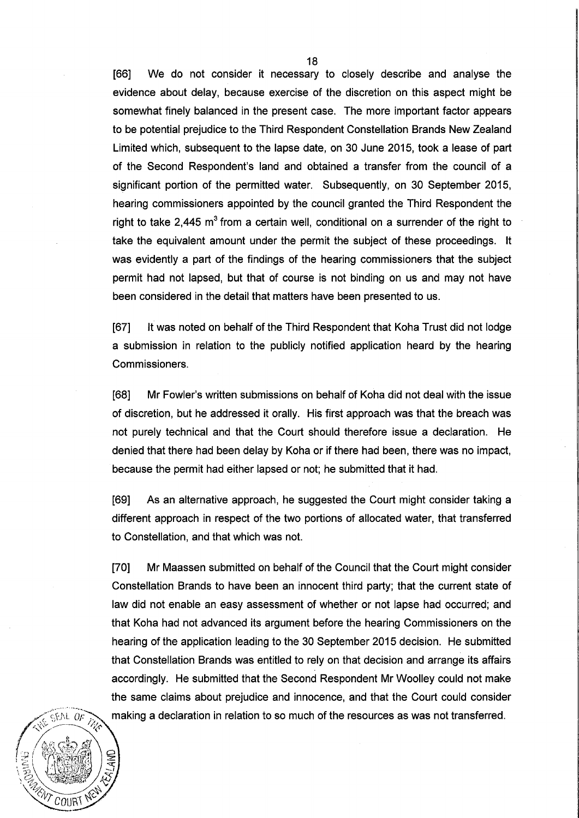[66] We do not consider it necessary to closely describe and analyse the evidence about delay, because exercise of the discretion on this aspect might be somewhat finely balanced in the present case. The more important factor appears to be potential prejudice to the Third Respondent Constellation Brands New Zealand Limited which, subsequent to the lapse date, on 30 June 2015, took a lease of part of the Second Respondent's land and obtained a transfer from the council of a significant portion of the permitted water. Subsequently, on 30 September 2015, hearing commissioners appointed by the council granted the Third Respondent the right to take 2,445  $m<sup>3</sup>$  from a certain well, conditional on a surrender of the right to take the equivalent amount under the permit the subject of these proceedings. It was evidently a part of the findings of the hearing commissioners that the subject permit had not lapsed, but that of course is not binding on us and may not have been considered in the detail that matters have been presented to us.

[67] It was noted on behalf of the Third Respondent that Koha Trust did not lodge a submission in relation to the publicly notified application heard by the hearing Commissioners.

[68] Mr Fowler's written submissions on behalf of Koha did not deal with the issue of discretion, but he addressed it orally. His first approach was that the breach was not purely technical and that the Court should therefore issue a declaration. He denied that there had been delay by Koha or if there had been, there was no impact, because the permit had either lapsed or not; he submitted that it had.

[69] As an alternative approach, he suggested the Court might consider taking a different approach in respect of the two portions of allocated water, that transferred to Constellation, and that which was not.

[70] Mr Maassen submitted on behalf of the Council that the Court might consider Constellation Brands to have been an innocent third party; that the current state of law did not enable an easy assessment of whether or not lapse had occurred; and that Koha had not advanced its argument before the hearing Commissioners on the hearing of the application leading to the 30 September 2015 decision. He submitted that Constellation Brands was entitled to rely on that decision and arrange its affairs accordingly. He submitted that the Second Respondent Mr Woolley could not make the same claims about prejudice and innocence, and that the Court could consider making a declaration in relation to so much of the resources as was not transferred.